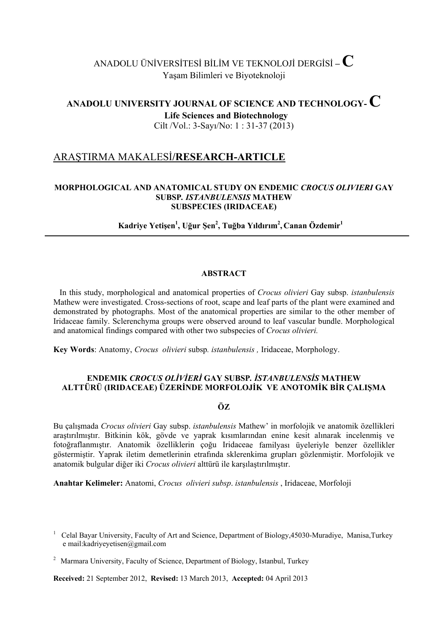# ANADOLU ÜNİVERSİTESİ BİLİM VE TEKNOLOJİ DERGİSİ **– C**  Yaşam Bilimleri ve Biyoteknoloji

## **ANADOLU UNIVERSITY JOURNAL OF SCIENCE AND TECHNOLOGY- C Life Sciences and Biotechnology**  Cilt /Vol.: 3-Sayı/No: 1 : 31-37 (2013)

## ARAŞTIRMA MAKALESİ**/RESEARCH-ARTICLE**

## **MORPHOLOGICAL AND ANATOMICAL STUDY ON ENDEMIC** *CROCUS OLIVIERI* **GAY SUBSP***. ISTANBULENSIS* **MATHEW SUBSPECIES (IRIDACEAE)**

## $\mathbf{K}$ adriye Yetişen<sup>1</sup>, Uğur Şen<sup>2</sup>, Tuğba Yıldırım<sup>2</sup>, Canan Özdemir<sup>1</sup>

#### **ABSTRACT**

 In this study, morphological and anatomical properties of *Crocus olivieri* Gay subsp. *istanbulensis* Mathew were investigated. Cross-sections of root, scape and leaf parts of the plant were examined and demonstrated by photographs. Most of the anatomical properties are similar to the other member of Iridaceae family. Sclerenchyma groups were observed around to leaf vascular bundle. Morphological and anatomical findings compared with other two subspecies of *Crocus olivieri.*

**Key Words**: Anatomy, *Crocus olivieri* subsp*. istanbulensis ,* Iridaceae, Morphology.

## **ENDEMIK** *CROCUS OLİVİERİ* **GAY SUBSP***. İSTANBULENSİS* **MATHEW ALTTÜRÜ (IRIDACEAE) ÜZERİNDE MORFOLOJİK VE ANOTOMİK BİR ÇALIŞMA**

## ÖZ

Bu çalışmada *Crocus olivieri* Gay subsp. *istanbulensis* Mathew' in morfolojik ve anatomik özellikleri araştırılmıştır. Bitkinin kök, gövde ve yaprak kısımlarından enine kesit alınarak incelenmiş ve fotoğraflanmıştır. Anatomik özelliklerin çoğu Iridaceae familyası üyeleriyle benzer özellikler göstermiştir. Yaprak iletim demetlerinin etrafında sklerenkima grupları gözlenmiştir. Morfolojik ve anatomik bulgular diğer iki *Crocus olivieri* alttürü ile karşılaştırılmıştır.

**Anahtar Kelimeler:** Anatomi, *Crocus olivieri subsp*. *istanbulensis* , Iridaceae, Morfoloji

**Received:** 21 September 2012, **Revised:** 13 March 2013, **Accepted:** 04 April 2013

<sup>&</sup>lt;sup>1</sup> Celal Bayar University, Faculty of Art and Science, Department of Biology, 45030-Muradiye, Manisa, Turkey e mail:kadriyeyetisen@gmail.com

<sup>&</sup>lt;sup>2</sup> Marmara University, Faculty of Science, Department of Biology, Istanbul, Turkey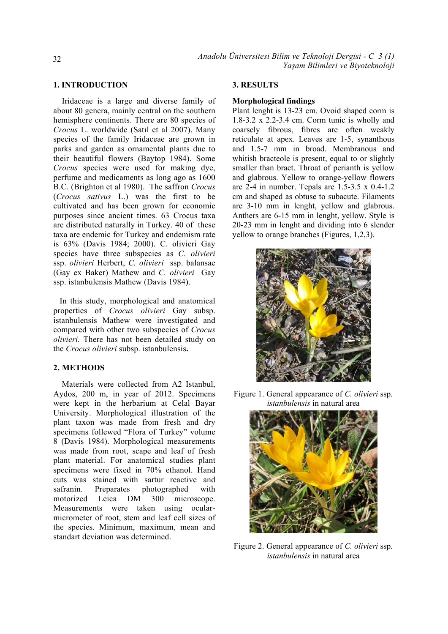#### **1. INTRODUCTION**

 Iridaceae is a large and diverse family of about 80 genera, mainly central on the southern hemisphere continents. There are 80 species of *Crocus* L. worldwide (Satıl et al 2007). Many species of the family Iridaceae are grown in parks and garden as ornamental plants due to their beautiful flowers (Baytop 1984). Some *Crocus* species were used for making dye, perfume and medicaments as long ago as 1600 B.C. (Brighton et al 1980). The saffron *Crocus*  (*Crocus sativus* L.) was the first to be cultivated and has been grown for economic purposes since ancient times. 63 Crocus taxa are distributed naturally in Turkey. 40 of these taxa are endemic for Turkey and endemism rate is 63% (Davis 1984; 2000). C. olivieri Gay species have three subspecies as *C. olivieri*  ssp. *olivieri* Herbert, *C. olivieri* ssp. balansae (Gay ex Baker) Mathew and *C. olivieri* Gay ssp. istanbulensis Mathew (Davis 1984).

 In this study, morphological and anatomical properties of *Crocus olivieri* Gay subsp. istanbulensis Mathew were investigated and compared with other two subspecies of *Crocus olivieri.* There has not been detailed study on the *Crocus olivieri* subsp. istanbulensis**.** 

## **2. METHODS**

 Materials were collected from A2 Istanbul, Aydos, 200 m, in year of 2012. Specimens were kept in the herbarium at Celal Bayar University. Morphological illustration of the plant taxon was made from fresh and dry specimens follewed "Flora of Turkey" volume 8 (Davis 1984). Morphological measurements was made from root, scape and leaf of fresh plant material. For anatomical studies plant specimens were fixed in 70% ethanol. Hand cuts was stained with sartur reactive and safranin. Preparates photographed with motorized Leica DM 300 microscope. Measurements were taken using ocularmicrometer of root, stem and leaf cell sizes of the species. Minimum, maximum, mean and standart deviation was determined.

#### **3. RESULTS**

#### **Morphological findings**

Plant lenght is 13-23 cm. Ovoid shaped corm is 1.8-3.2 x 2.2-3.4 cm. Corm tunic is wholly and coarsely fibrous, fibres are often weakly reticulate at apex. Leaves are 1-5, synanthous and 1.5-7 mm in broad. Membranous and whitish bracteole is present, equal to or slightly smaller than bract. Throat of perianth is yellow and glabrous. Yellow to orange-yellow flowers are 2-4 in number. Tepals are 1.5-3.5 x 0.4-1.2 cm and shaped as obtuse to subacute. Filaments are 3-10 mm in lenght, yellow and glabrous. Anthers are 6-15 mm in lenght, yellow. Style is 20-23 mm in lenght and dividing into 6 slender yellow to orange branches (Figures, 1,2,3).



Figure 1. General appearance of *C. olivieri* ssp*. istanbulensis* in natural area



Figure 2. General appearance of *C. olivieri* ssp*. istanbulensis* in natural area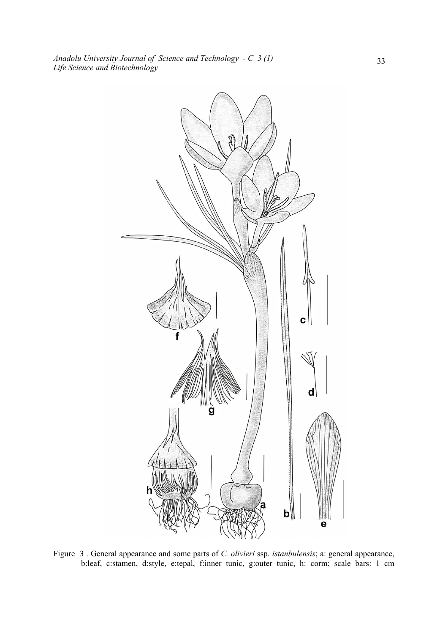

Figure 3 . General appearance and some parts of *C. olivieri* ssp. *istanbulensis*; a: general appearance, b:leaf, c:stamen, d:style, e:tepal, f:inner tunic, g:outer tunic, h: corm; scale bars: 1 cm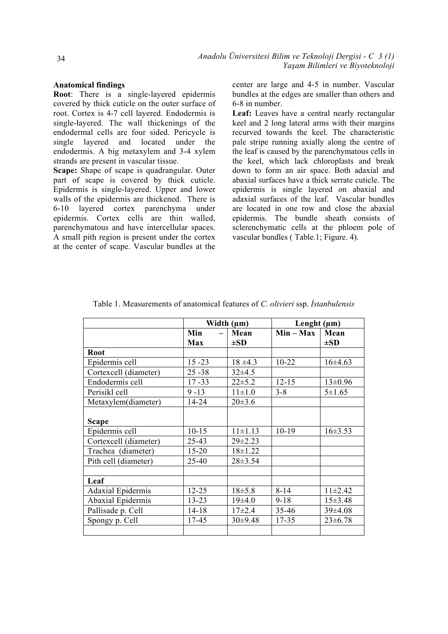#### **Anatomical findings**

**Root**: There is a single-layered epidermis covered by thick cuticle on the outer surface of root. Cortex is 4-7 cell layered. Endodermis is single-layered. The wall thickenings of the endodermal cells are four sided. Pericycle is single layered and located under the endodermis. A big metaxylem and 3-4 xylem strands are present in vascular tissue.

**Scape:** Shape of scape is quadrangular. Outer part of scape is covered by thick cuticle. Epidermis is single-layered. Upper and lower walls of the epidermis are thickened. There is 6-10 layered cortex parenchyma under epidermis. Cortex cells are thin walled, parenchymatous and have intercellular spaces. A small pith region is present under the cortex at the center of scape. Vascular bundles at the

center are large and 4-5 in number. Vascular bundles at the edges are smaller than others and 6-8 in number.

**Leaf:** Leaves have a central nearly rectangular keel and 2 long lateral arms with their margins recurved towards the keel. The characteristic pale stripe running axially along the centre of the leaf is caused by the parenchymatous cells in the keel, which lack chloroplasts and break down to form an air space. Both adaxial and abaxial surfaces have a thick serrate cuticle. The epidermis is single layered on abaxial and adaxial surfaces of the leaf. Vascular bundles are located in one row and close the abaxial epidermis. The bundle sheath consists of sclerenchymatic cells at the phloem pole of vascular bundles ( Table.1; Figure. 4).

|                       | Width $(\mu m)$ |                  | Lenght $(\mu m)$ |                  |
|-----------------------|-----------------|------------------|------------------|------------------|
|                       | Min<br>Max      | Mean<br>$\pm SD$ | $Min - Max$      | Mean<br>$\pm SD$ |
| <b>Root</b>           |                 |                  |                  |                  |
| Epidermis cell        | $15 - 23$       | $18 \pm 4.3$     | $10 - 22$        | $16\pm4.63$      |
| Cortexcell (diameter) | $25 - 38$       | $32\pm4.5$       |                  |                  |
| Endodermis cell       | $17 - 33$       | $22 \pm 5.2$     | $12 - 15$        | $13 \pm 0.96$    |
| Perisikl cell         | $9 - 13$        | $11 \pm 1.0$     | $3 - 8$          | $5 \pm 1.65$     |
| Metaxylem(diameter)   | 14-24           | $20 \pm 3.6$     |                  |                  |
| <b>Scape</b>          |                 |                  |                  |                  |
| Epidermis cell        | $10 - 15$       | $11 \pm 1.13$    | $10-19$          | $16\pm3.53$      |
| Cortexcell (diameter) | 25-43           | $29\pm2.23$      |                  |                  |
| Trachea (diameter)    | $15 - 20$       | $18 \pm 1.22$    |                  |                  |
| Pith cell (diameter)  | 25-40           | $28 \pm 3.54$    |                  |                  |
|                       |                 |                  |                  |                  |
| Leaf                  |                 |                  |                  |                  |
| Adaxial Epidermis     | $12 - 25$       | $18 + 5.8$       | $8 - 14$         | $11\pm2.42$      |
| Abaxial Epidermis     | $13 - 23$       | 19±4.0           | $9 - 18$         | 15±3.48          |
| Pallisade p. Cell     | $14 - 18$       | $17\pm2.4$       | $35 - 46$        | $39\pm4.08$      |
| Spongy p. Cell        | 17-45           | $30\pm9.48$      | $17 - 35$        | $23 \pm 6.78$    |
|                       |                 |                  |                  |                  |

Table 1. Measurements of anatomical features of *C. olivieri* ssp. *İstanbulensis*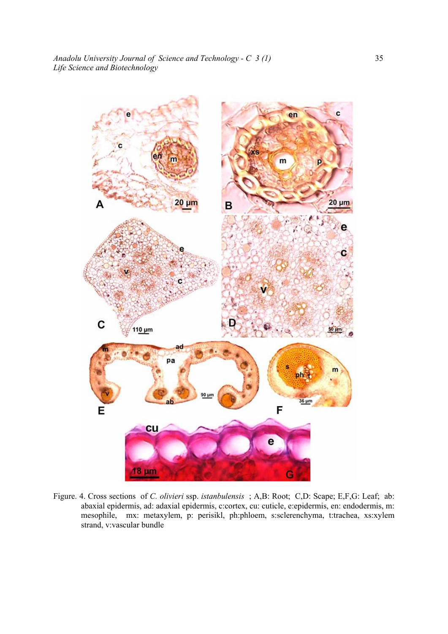![](_page_4_Figure_1.jpeg)

Figure. 4. Cross sections of *C. olivieri* ssp. *istanbulensis* ; A,B: Root; C,D: Scape; E,F,G: Leaf; ab: abaxial epidermis, ad: adaxial epidermis, c:cortex, cu: cuticle, e:epidermis, en: endodermis, m: mesophile, mx: metaxylem, p: perisikl, ph:phloem, s:sclerenchyma, t:trachea, xs:xylem strand, v:vascular bundle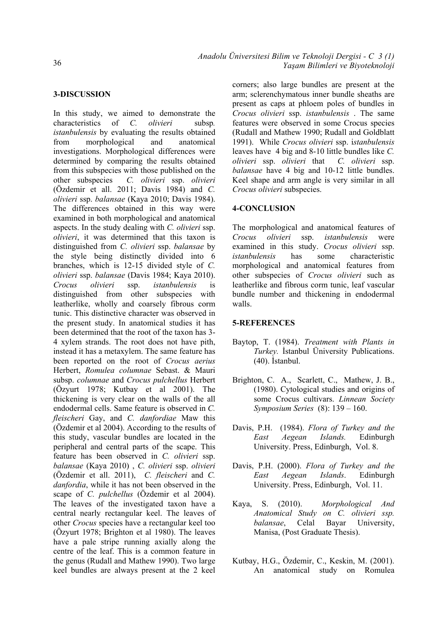#### **3-DISCUSSION**

In this study, we aimed to demonstrate the characteristics of *C. olivieri* subsp*. istanbulensis* by evaluating the results obtained from morphological and anatomical investigations. Morphological differences were determined by comparing the results obtained from this subspecies with those published on the other subspecies *C. olivieri* ssp. *olivieri* (Özdemir et all. 2011; Davis 1984) and *C. olivieri* ssp. *balansae* (Kaya 2010; Davis 1984). The differences obtained in this way were examined in both morphological and anatomical aspects. In the study dealing with *C. olivieri* ssp. *olivieri*, it was determined that this taxon is distinguished from *C. olivieri* ssp. *balansae* by the style being distinctly divided into 6 branches, which is 12-15 divided style of *C. olivieri* ssp. *balansae* (Davis 1984; Kaya 2010). *Crocus olivieri* ssp. *istanbulensis* is distinguished from other subspecies with leatherlike, wholly and coarsely fibrous corm tunic. This distinctive character was observed in the present study. In anatomical studies it has been determined that the root of the taxon has 3- 4 xylem strands. The root does not have pith, instead it has a metaxylem. The same feature has been reported on the root of *Crocus aerius* Herbert, *Romulea columnae* Sebast. & Mauri subsp. *columnae* and *Crocus pulchellus* Herbert (Özyurt 1978; Kutbay et al 2001). The thickening is very clear on the walls of the all endodermal cells. Same feature is observed in *C. fleischeri* Gay, and *C. danfordiae* Maw this (Özdemir et al 2004). According to the results of this study, vascular bundles are located in the peripheral and central parts of the scape. This feature has been observed in *C. olivieri* ssp. *balansae* (Kaya 2010) , *C. olivieri* ssp. *olivieri* (Özdemir et all. 2011), *C. fleischeri* and *C. danfordia*, while it has not been observed in the scape of *C. pulchellus* (Özdemir et al 2004). The leaves of the investigated taxon have a central nearly rectangular keel. The leaves of other *Crocus* species have a rectangular keel too (Özyurt 1978; Brighton et al 1980). The leaves have a pale stripe running axially along the centre of the leaf. This is a common feature in the genus (Rudall and Mathew 1990). Two large keel bundles are always present at the 2 keel corners; also large bundles are present at the arm; sclerenchymatous inner bundle sheaths are present as caps at phloem poles of bundles in *Crocus olivieri* ssp. *istanbulensis* . The same features were observed in some Crocus species (Rudall and Mathew 1990; Rudall and Goldblatt 1991). While *Crocus olivieri* ssp. i*stanbulensis*  leaves have 4 big and 8-10 little bundles like *C. olivieri* ssp. *olivieri* that *C. olivieri* ssp. *balansae* have 4 big and 10-12 little bundles. Keel shape and arm angle is very similar in all *Crocus olivieri* subspecies.

#### **4-CONCLUSION**

The morphological and anatomical features of *Crocus olivieri* ssp. *istanbulensis* were examined in this study. *Crocus olivieri* ssp. *istanbulensis* has some characteristic morphological and anatomical features from other subspecies of *Crocus olivieri* such as leatherlike and fibrous corm tunic, leaf vascular bundle number and thickening in endodermal walls.

#### **5-REFERENCES**

- Baytop, T. (1984). *Treatment with Plants in Turkey.* İstanbul Üniversity Publications. (40). İstanbul.
- Brighton, C. A., Scarlett, C., Mathew, J. B., (1980). Cytological studies and origins of some Crocus cultivars. *Linnean Society Symposium Series* (8): 139 – 160.
- Davis, P.H. (1984). *Flora of Turkey and the East Aegean Islands.* Edinburgh University. Press, Edinburgh, Vol. 8.
- Davis, P.H. (2000). *Flora of Turkey and the East Aegean Islands*. Edinburgh University. Press, Edinburgh, Vol. 11.
- Kaya, S. (2010). *Morphological And Anatomical Study on C. olivieri ssp. balansae*, Celal Bayar University, Manisa, (Post Graduate Thesis).
- Kutbay, H.G., Özdemir, C., Keskin, M. (2001). An anatomical study on Romulea